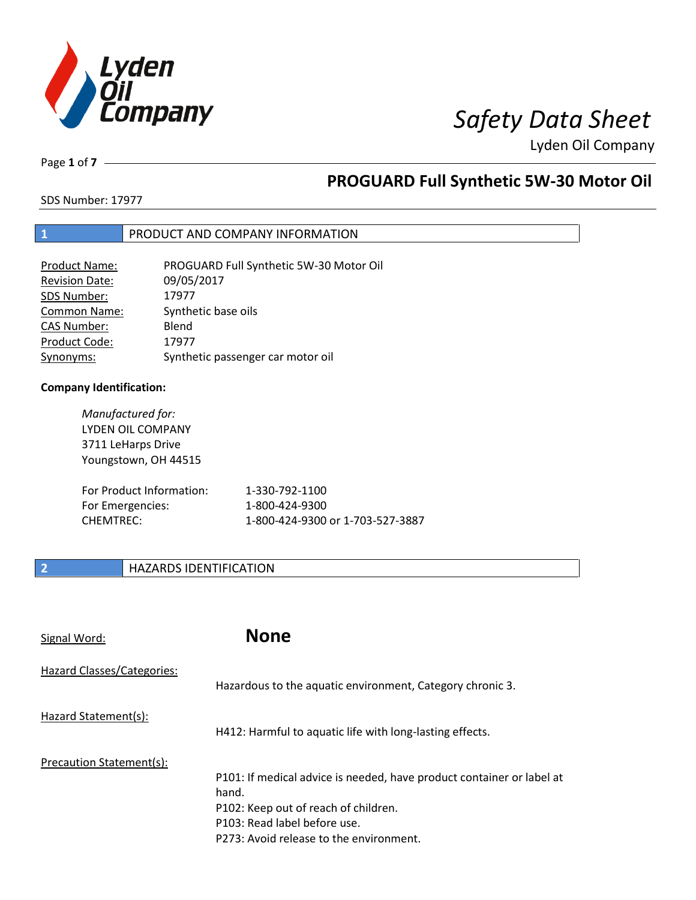

Lyden Oil Company

Page **1** of **7**

### **PROGUARD Full Synthetic 5W-30 Motor Oil**

SDS Number: 17977

### **1** PRODUCT AND COMPANY INFORMATION

| <b>Product Name:</b>  | PROGUARD Full Synthetic 5W-30 Motor Oil |
|-----------------------|-----------------------------------------|
| <b>Revision Date:</b> | 09/05/2017                              |
| SDS Number:           | 17977                                   |
| <b>Common Name:</b>   | Synthetic base oils                     |
| <b>CAS Number:</b>    | Blend                                   |
| Product Code:         | 17977                                   |
| Synonyms:             | Synthetic passenger car motor oil       |

#### **Company Identification:**

*Manufactured for:*  LYDEN OIL COMPANY 3711 LeHarps Drive Youngstown, OH 44515 For Product Information: 1-330-792-1100

| For Product Information: I | 1-330-792-1100                   |
|----------------------------|----------------------------------|
| For Emergencies:           | 1-800-424-9300                   |
| CHEMTREC:                  | 1-800-424-9300 or 1-703-527-3887 |

### **2 HAZARDS IDENTIFICATION**

| <b>None</b>                                                                                                                                                                                       |
|---------------------------------------------------------------------------------------------------------------------------------------------------------------------------------------------------|
| Hazardous to the aquatic environment, Category chronic 3.                                                                                                                                         |
| H412: Harmful to aquatic life with long-lasting effects.                                                                                                                                          |
| P101: If medical advice is needed, have product container or label at<br>hand.<br>P102: Keep out of reach of children.<br>P103: Read label before use.<br>P273: Avoid release to the environment. |
|                                                                                                                                                                                                   |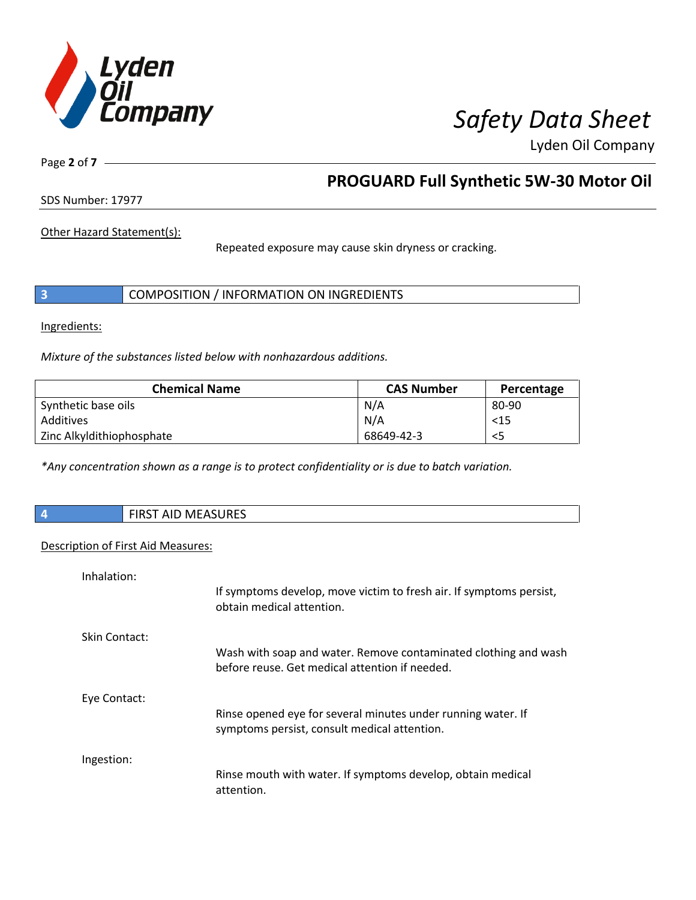

Lyden Oil Company

Page **2** of **7**

### **PROGUARD Full Synthetic 5W-30 Motor Oil**

SDS Number: 17977

Other Hazard Statement(s):

Repeated exposure may cause skin dryness or cracking.

|  | COMPOSITION / INFORMATION ON INGREDIENTS |
|--|------------------------------------------|
|--|------------------------------------------|

Ingredients:

I

*Mixture of the substances listed below with nonhazardous additions.* 

| <b>Chemical Name</b>      | <b>CAS Number</b> | Percentage |
|---------------------------|-------------------|------------|
| Synthetic base oils       | N/A               | 80-90      |
| Additives                 | N/A               | $15$       |
| Zinc Alkyldithiophosphate | 68649-42-3        | <5         |

*\*Any concentration shown as a range is to protect confidentiality or is due to batch variation.*

| AID MEASURES<br><b>FIDCT</b><br>エハコーナ |
|---------------------------------------|
|                                       |

#### Description of First Aid Measures:

| Inhalation:   | If symptoms develop, move victim to fresh air. If symptoms persist,<br>obtain medical attention.                  |
|---------------|-------------------------------------------------------------------------------------------------------------------|
| Skin Contact: | Wash with soap and water. Remove contaminated clothing and wash<br>before reuse. Get medical attention if needed. |
| Eye Contact:  | Rinse opened eye for several minutes under running water. If<br>symptoms persist, consult medical attention.      |
| Ingestion:    | Rinse mouth with water. If symptoms develop, obtain medical<br>attention.                                         |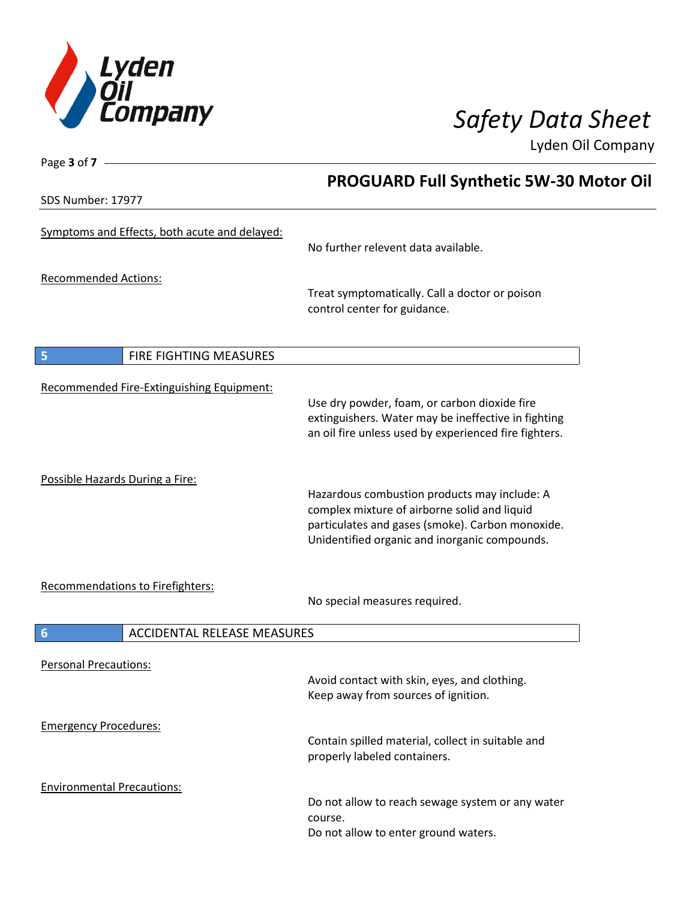

Page **3** of **7**

## *Safety Data Sheet*

Lyden Oil Company

|                                                       | <b>PROGUARD Full Synthetic 5W-30 Motor Oil</b>                                                                                                                                                    |  |  |
|-------------------------------------------------------|---------------------------------------------------------------------------------------------------------------------------------------------------------------------------------------------------|--|--|
| SDS Number: 17977                                     |                                                                                                                                                                                                   |  |  |
| Symptoms and Effects, both acute and delayed:         | No further relevent data available.                                                                                                                                                               |  |  |
| <b>Recommended Actions:</b>                           | Treat symptomatically. Call a doctor or poison<br>control center for guidance.                                                                                                                    |  |  |
| 5<br>FIRE FIGHTING MEASURES                           |                                                                                                                                                                                                   |  |  |
| Recommended Fire-Extinguishing Equipment:             | Use dry powder, foam, or carbon dioxide fire<br>extinguishers. Water may be ineffective in fighting<br>an oil fire unless used by experienced fire fighters.                                      |  |  |
| Possible Hazards During a Fire:                       | Hazardous combustion products may include: A<br>complex mixture of airborne solid and liquid<br>particulates and gases (smoke). Carbon monoxide.<br>Unidentified organic and inorganic compounds. |  |  |
| Recommendations to Firefighters:                      | No special measures required.                                                                                                                                                                     |  |  |
| <b>ACCIDENTAL RELEASE MEASURES</b><br>$6\phantom{1}6$ |                                                                                                                                                                                                   |  |  |
| <b>Personal Precautions:</b>                          | Avoid contact with skin, eyes, and clothing.<br>Keep away from sources of ignition.                                                                                                               |  |  |
| <b>Emergency Procedures:</b>                          | Contain spilled material, collect in suitable and<br>properly labeled containers.                                                                                                                 |  |  |
| <b>Environmental Precautions:</b>                     | Do not allow to reach sewage system or any water<br>course.<br>Do not allow to enter ground waters.                                                                                               |  |  |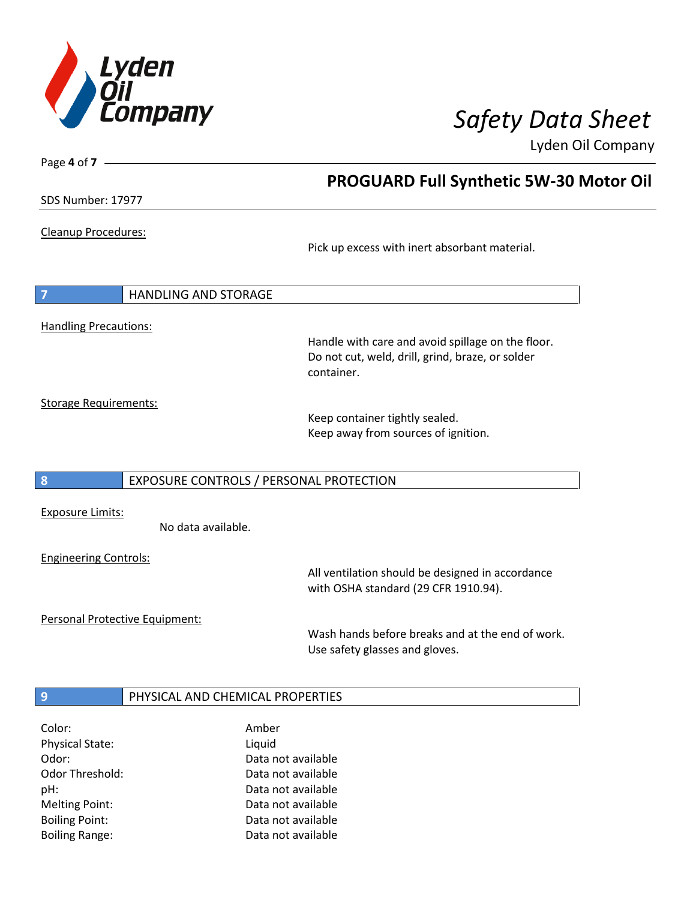

 **PROGUARD Full Synthetic 5W-30 Motor Oil** 

Lyden Oil Company

SDS Number: 17977

Page **4** of **7**

Cleanup Procedures:

Pick up excess with inert absorbant material.

**7** HANDLING AND STORAGE Handling Precautions:

Handle with care and avoid spillage on the floor. Do not cut, weld, drill, grind, braze, or solder container.

Storage Requirements:

Keep container tightly sealed. Keep away from sources of ignition.

### **8** EXPOSURE CONTROLS / PERSONAL PROTECTION

Exposure Limits:

No data available.

Engineering Controls:

All ventilation should be designed in accordance with OSHA standard (29 CFR 1910.94).

Personal Protective Equipment:

Wash hands before breaks and at the end of work. Use safety glasses and gloves.

### **9 PHYSICAL AND CHEMICAL PROPERTIES**

| Color:                 | Amber              |
|------------------------|--------------------|
| <b>Physical State:</b> | Liquid             |
| Odor:                  | Data not available |
| Odor Threshold:        | Data not available |
| pH:                    | Data not available |
| <b>Melting Point:</b>  | Data not available |
| <b>Boiling Point:</b>  | Data not available |
| <b>Boiling Range:</b>  | Data not available |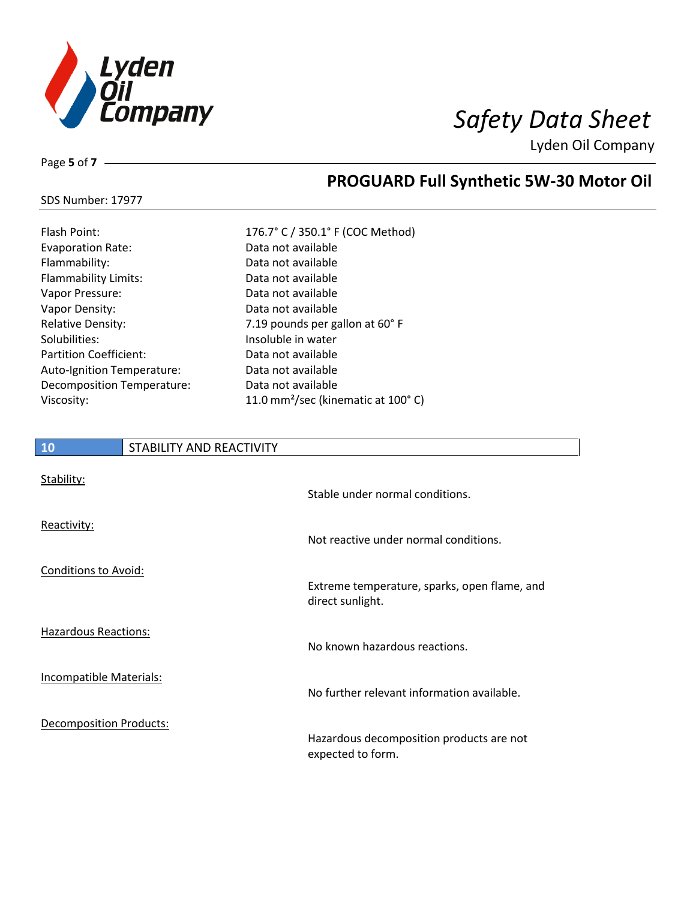

Lyden Oil Company

Page **5** of **7**

### **PROGUARD Full Synthetic 5W-30 Motor Oil**

#### SDS Number: 17977

| Flash Point:                  |
|-------------------------------|
| <b>Evaporation Rate:</b>      |
| Flammability:                 |
| <b>Flammability Limits:</b>   |
| Vapor Pressure:               |
| Vapor Density:                |
| <b>Relative Density:</b>      |
| Solubilities:                 |
| <b>Partition Coefficient:</b> |
| Auto-Ignition Temperature:    |
| Decomposition Temperature:    |
| Viscosity:                    |
|                               |

176.7° C / 350.1° F (COC Method) Data not available Data not available Data not available Data not available Data not available 7.19 pounds per gallon at 60° F Insoluble in water Data not available Data not available Data not available 11.0 mm<sup>2</sup>/sec (kinematic at 100°C)

| <b>10</b>                      | STABILITY AND REACTIVITY |                                                                  |
|--------------------------------|--------------------------|------------------------------------------------------------------|
| Stability:                     |                          | Stable under normal conditions.                                  |
| Reactivity:                    |                          | Not reactive under normal conditions.                            |
| <b>Conditions to Avoid:</b>    |                          | Extreme temperature, sparks, open flame, and<br>direct sunlight. |
| <b>Hazardous Reactions:</b>    |                          | No known hazardous reactions.                                    |
| <b>Incompatible Materials:</b> |                          | No further relevant information available.                       |
| <b>Decomposition Products:</b> |                          | Hazardous decomposition products are not<br>expected to form.    |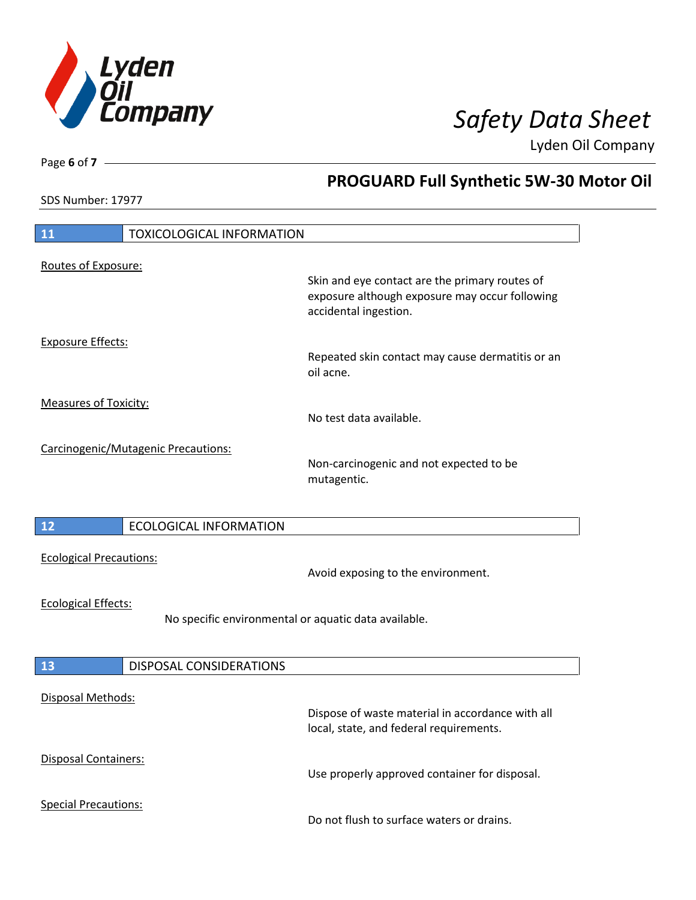

 **PROGUARD Full Synthetic 5W-30 Motor Oil** 

Lyden Oil Company

SDS Number: 17977

Page **6** of **7**

| 11<br><b>TOXICOLOGICAL INFORMATION</b> |                                                      |                                                                                                                           |
|----------------------------------------|------------------------------------------------------|---------------------------------------------------------------------------------------------------------------------------|
|                                        |                                                      |                                                                                                                           |
| Routes of Exposure:                    |                                                      |                                                                                                                           |
|                                        |                                                      | Skin and eye contact are the primary routes of<br>exposure although exposure may occur following<br>accidental ingestion. |
| <b>Exposure Effects:</b>               |                                                      |                                                                                                                           |
|                                        |                                                      | Repeated skin contact may cause dermatitis or an<br>oil acne.                                                             |
| <b>Measures of Toxicity:</b>           |                                                      |                                                                                                                           |
|                                        |                                                      | No test data available.                                                                                                   |
|                                        |                                                      |                                                                                                                           |
|                                        | Carcinogenic/Mutagenic Precautions:                  | Non-carcinogenic and not expected to be<br>mutagentic.                                                                    |
|                                        |                                                      |                                                                                                                           |
| 12                                     | <b>ECOLOGICAL INFORMATION</b>                        |                                                                                                                           |
| <b>Ecological Precautions:</b>         |                                                      | Avoid exposing to the environment.                                                                                        |
| <b>Ecological Effects:</b>             |                                                      |                                                                                                                           |
|                                        | No specific environmental or aquatic data available. |                                                                                                                           |
|                                        |                                                      |                                                                                                                           |
| 13                                     | DISPOSAL CONSIDERATIONS                              |                                                                                                                           |
|                                        |                                                      |                                                                                                                           |
| Disposal Methods:                      |                                                      |                                                                                                                           |
|                                        |                                                      | Dispose of waste material in accordance with all<br>local, state, and federal requirements.                               |
| Disposal Containers:                   |                                                      |                                                                                                                           |
|                                        |                                                      | Use properly approved container for disposal.                                                                             |
| <b>Special Precautions:</b>            |                                                      |                                                                                                                           |
|                                        |                                                      | Do not flush to surface waters or drains.                                                                                 |